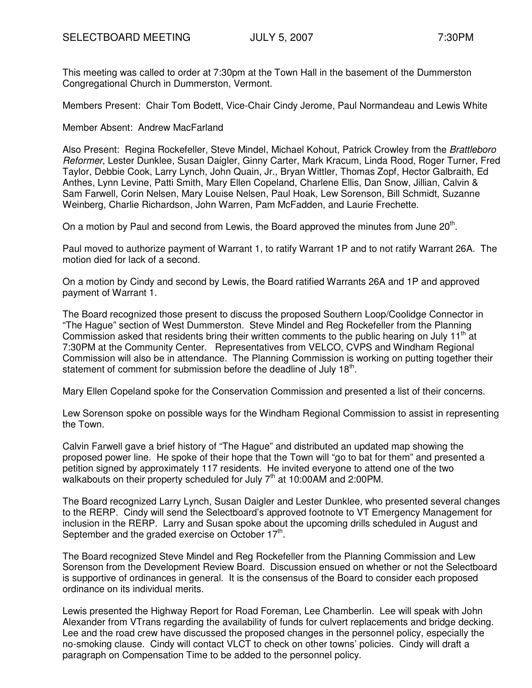This meeting was called to order at 7:30pm at the Town Hall in the basement of the Dummerston Congregational Church in Dummerston, Vermont.

Members Present: Chair Tom Bodett, Vice-Chair Cindy Jerome, Paul Normandeau and Lewis White

Member Absent: Andrew MacFarland

Also Present: Regina Rockefeller, Steve Mindel, Michael Kohout, Patrick Crowley from the Brattleboro Reformer, Lester Dunklee, Susan Daigler, Ginny Carter, Mark Kracum, Linda Rood, Roger Turner, Fred Taylor, Debbie Cook, Larry Lynch, John Quain, Jr., Bryan Wittler, Thomas Zopf, Hector Galbraith, Ed Anthes, Lynn Levine, Patti Smith, Mary Ellen Copeland, Charlene Ellis, Dan Snow, Jillian, Calvin & Sam Farwell, Corin Nelsen, Mary Louise Nelsen, Paul Hoak, Lew Sorenson, Bill Schmidt, Suzanne Weinberg, Charlie Richardson, John Warren, Pam McFadden, and Laurie Frechette.

On a motion by Paul and second from Lewis, the Board approved the minutes from June 20<sup>th</sup>.

Paul moved to authorize payment of Warrant 1, to ratify Warrant 1P and to not ratify Warrant 26A. The motion died for lack of a second.

On a motion by Cindy and second by Lewis, the Board ratified Warrants 26A and 1P and approved payment of Warrant 1.

The Board recognized those present to discuss the proposed Southern Loop/Coolidge Connector in "The Hague" section of West Dummerston. Steve Mindel and Reg Rockefeller from the Planning Commission asked that residents bring their written comments to the public hearing on July 11<sup>th</sup> at 7:30PM at the Community Center. Representatives from VELCO, CVPS and Windham Regional Commission will also be in attendance. The Planning Commission is working on putting together their statement of comment for submission before the deadline of July 18<sup>th</sup>.

Mary Ellen Copeland spoke for the Conservation Commission and presented a list of their concerns.

Lew Sorenson spoke on possible ways for the Windham Regional Commission to assist in representing the Town.

Calvin Farwell gave a brief history of "The Hague" and distributed an updated map showing the proposed power line. He spoke of their hope that the Town will "go to bat for them" and presented a petition signed by approximately 117 residents. He invited everyone to attend one of the two walkabouts on their property scheduled for July  $7<sup>th</sup>$  at 10:00AM and 2:00PM.

The Board recognized Larry Lynch, Susan Daigler and Lester Dunklee, who presented several changes to the RERP. Cindy will send the Selectboard's approved footnote to VT Emergency Management for inclusion in the RERP. Larry and Susan spoke about the upcoming drills scheduled in August and September and the graded exercise on October  $17<sup>th</sup>$ .

The Board recognized Steve Mindel and Reg Rockefeller from the Planning Commission and Lew Sorenson from the Development Review Board. Discussion ensued on whether or not the Selectboard is supportive of ordinances in general. It is the consensus of the Board to consider each proposed ordinance on its individual merits.

Lewis presented the Highway Report for Road Foreman, Lee Chamberlin. Lee will speak with John Alexander from VTrans regarding the availability of funds for culvert replacements and bridge decking. Lee and the road crew have discussed the proposed changes in the personnel policy, especially the no-smoking clause. Cindy will contact VLCT to check on other towns' policies. Cindy will draft a paragraph on Compensation Time to be added to the personnel policy.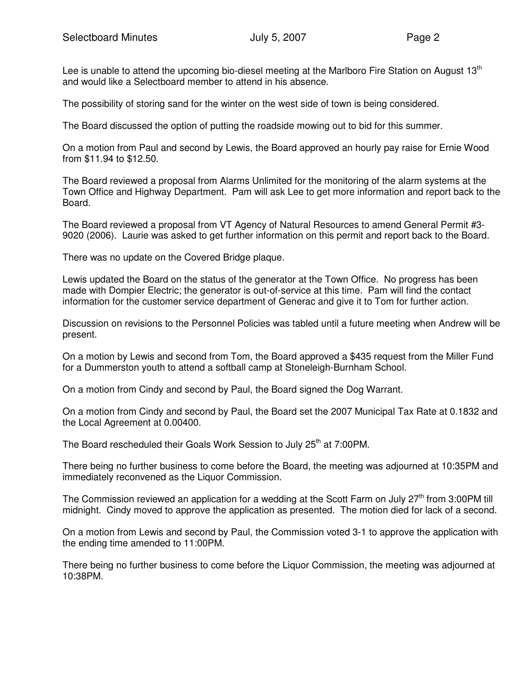Lee is unable to attend the upcoming bio-diesel meeting at the Marlboro Fire Station on August  $13<sup>th</sup>$ and would like a Selectboard member to attend in his absence.

The possibility of storing sand for the winter on the west side of town is being considered.

The Board discussed the option of putting the roadside mowing out to bid for this summer.

On a motion from Paul and second by Lewis, the Board approved an hourly pay raise for Ernie Wood from \$11.94 to \$12.50.

The Board reviewed a proposal from Alarms Unlimited for the monitoring of the alarm systems at the Town Office and Highway Department. Pam will ask Lee to get more information and report back to the Board.

The Board reviewed a proposal from VT Agency of Natural Resources to amend General Permit #3- 9020 (2006). Laurie was asked to get further information on this permit and report back to the Board.

There was no update on the Covered Bridge plaque.

Lewis updated the Board on the status of the generator at the Town Office. No progress has been made with Dompier Electric; the generator is out-of-service at this time. Pam will find the contact information for the customer service department of Generac and give it to Tom for further action.

Discussion on revisions to the Personnel Policies was tabled until a future meeting when Andrew will be present.

On a motion by Lewis and second from Tom, the Board approved a \$435 request from the Miller Fund for a Dummerston youth to attend a softball camp at Stoneleigh-Burnham School.

On a motion from Cindy and second by Paul, the Board signed the Dog Warrant.

On a motion from Cindy and second by Paul, the Board set the 2007 Municipal Tax Rate at 0.1832 and the Local Agreement at 0.00400.

The Board rescheduled their Goals Work Session to July 25<sup>th</sup> at 7:00PM.

There being no further business to come before the Board, the meeting was adjourned at 10:35PM and immediately reconvened as the Liquor Commission.

The Commission reviewed an application for a wedding at the Scott Farm on July  $27<sup>th</sup>$  from 3:00PM till midnight. Cindy moved to approve the application as presented. The motion died for lack of a second.

On a motion from Lewis and second by Paul, the Commission voted 3-1 to approve the application with the ending time amended to 11:00PM.

There being no further business to come before the Liquor Commission, the meeting was adjourned at 10:38PM.